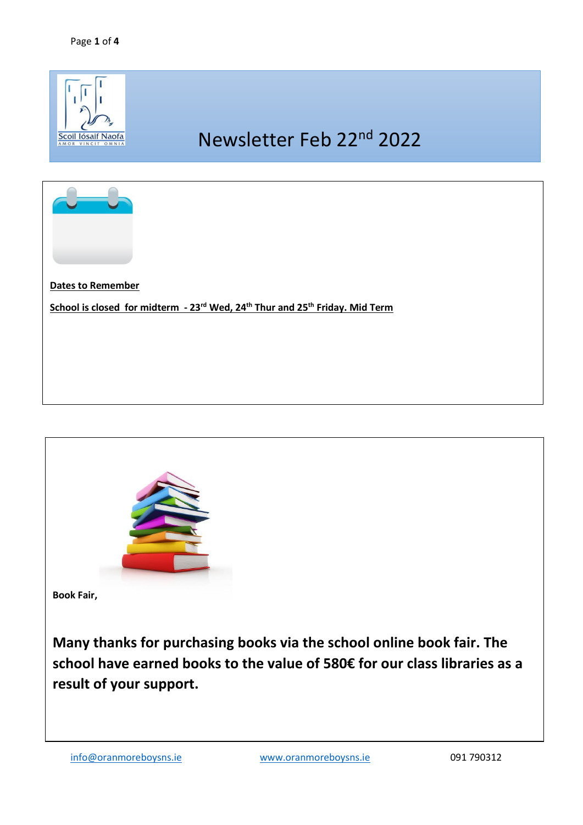



**Book Fair,** 

**Many thanks for purchasing books via the school online book fair. The school have earned books to the value of 580€ for our class libraries as a result of your support.**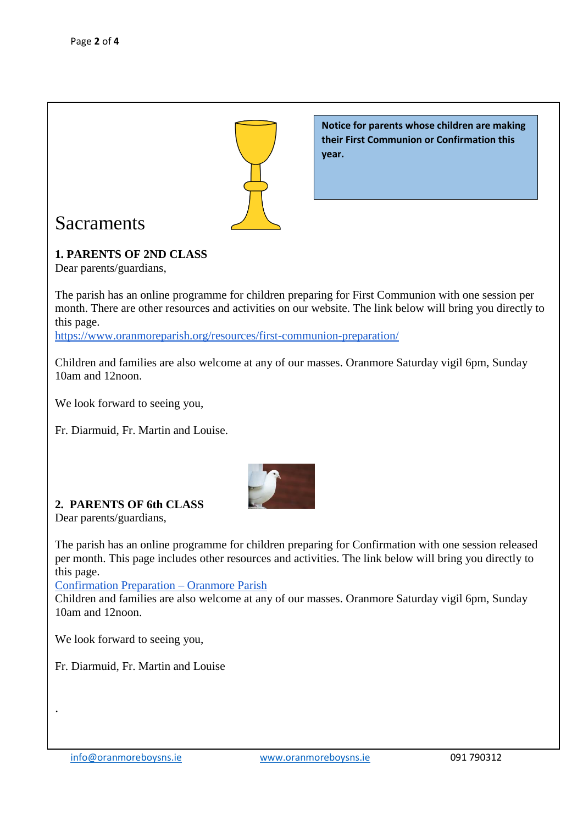

## Sacraments

## **1. PARENTS OF 2ND CLASS**

Dear parents/guardians,

The parish has an online programme for children preparing for First Communion with one session per month. There are other resources and activities on our website. The link below will bring you directly to this page.

**year.**

**Notice for parents whose children are making their First Communion or Confirmation this** 

<https://www.oranmoreparish.org/resources/first-communion-preparation/>

Children and families are also welcome at any of our masses. Oranmore Saturday vigil 6pm, Sunday 10am and 12noon.

We look forward to seeing you,

Fr. Diarmuid, Fr. Martin and Louise.



## **2. PARENTS OF 6th CLASS**

Dear parents/guardians,

The parish has an online programme for children preparing for Confirmation with one session released per month. This page includes other resources and activities. The link below will bring you directly to this page.

[Confirmation Preparation –](https://www.oranmoreparish.org/resources/confirmation-preparation/) Oranmore Parish

Children and families are also welcome at any of our masses. Oranmore Saturday vigil 6pm, Sunday 10am and 12noon.

We look forward to seeing you,

Fr. Diarmuid, Fr. Martin and Louise

.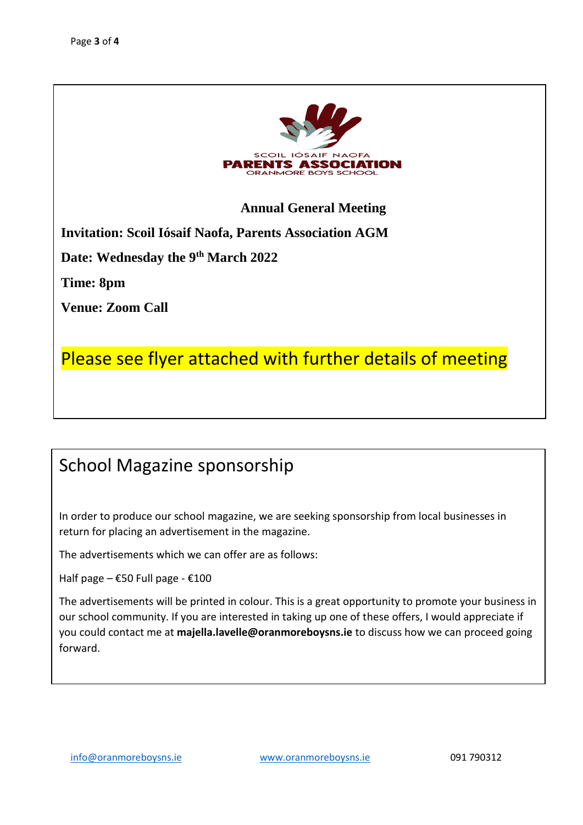

**Annual General Meeting**

**Invitation: Scoil Iósaif Naofa, Parents Association AGM**

**Date: Wednesday the 9th March 2022** 

**Time: 8pm** 

**Venue: Zoom Call**

Please see flyer attached with further details of meeting

## School Magazine sponsorship

In order to produce our school magazine, we are seeking sponsorship from local businesses in return for placing an advertisement in the magazine.

The advertisements which we can offer are as follows:

Half page –  $£50$  Full page -  $£100$ 

The advertisements will be printed in colour. This is a great opportunity to promote your business in our school community. If you are interested in taking up one of these offers, I would appreciate if you could contact me at **majella.lavelle@oranmoreboysns.ie** to discuss how we can proceed going forward.